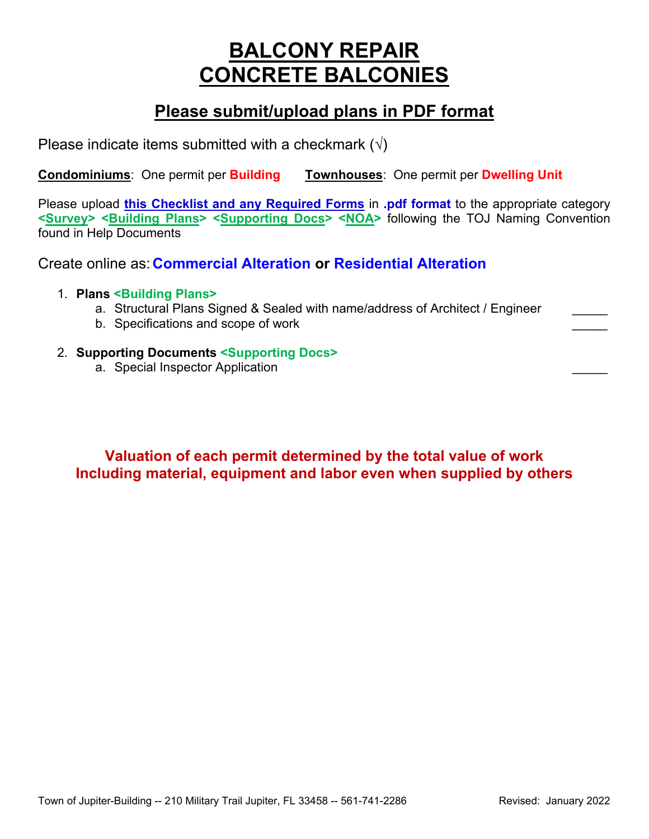# **BALCONY REPAIR CONCRETE BALCONIES**

## **Please submit/upload plans in PDF format**

Please indicate items submitted with a checkmark  $(\sqrt{})$ 

**Condominiums**: One permit per **Building Townhouses**: One permit per **Dwelling Unit**

Please upload **this Checklist and any Required Forms** in **.pdf format** to the appropriate category **<Survey> <Building Plans> <Supporting Docs> <NOA>** following the TOJ Naming Convention found in Help Documents

Create online as: **Commercial Alteration or Residential Alteration**

### 1. **Plans <Building Plans>**

- a. Structural Plans Signed & Sealed with name/address of Architect / Engineer
- b. Specifications and scope of work
- 2. **Supporting Documents <Supporting Docs>**
	- a. Special Inspector Application

**Valuation of each permit determined by the total value of work Including material, equipment and labor even when supplied by others**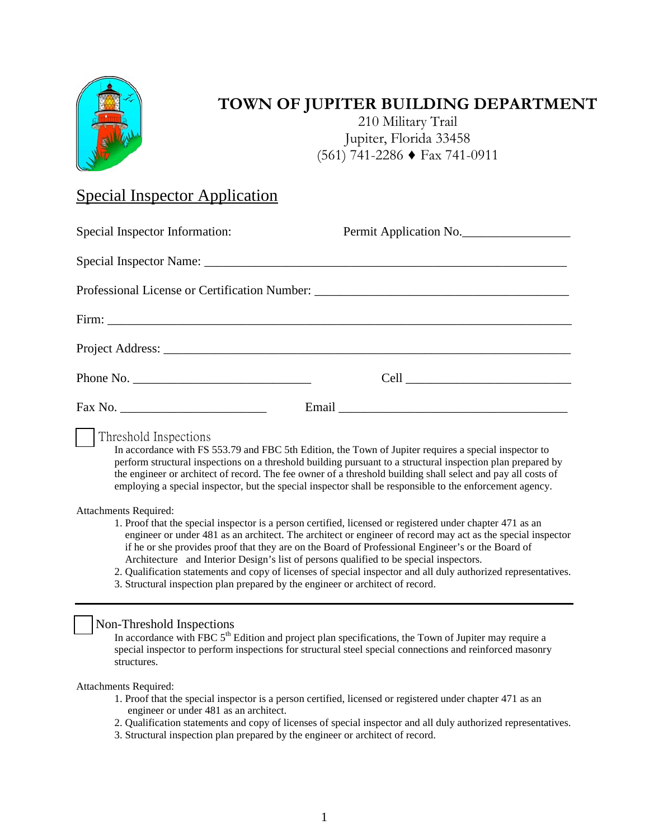

# **TOWN OF JUPITER BUILDING DEPARTMENT**

210 Military Trail Jupiter, Florida 33458 (561) 741-2286 ♦ Fax 741-0911

### Special Inspector Application

| Special Inspector Information:                                                                                                                                                                                                                                                                                                                                                                                                                                                                                                                                                                                                                                                                                                                                                                                                                                                                                                | Permit Application No. |  |
|-------------------------------------------------------------------------------------------------------------------------------------------------------------------------------------------------------------------------------------------------------------------------------------------------------------------------------------------------------------------------------------------------------------------------------------------------------------------------------------------------------------------------------------------------------------------------------------------------------------------------------------------------------------------------------------------------------------------------------------------------------------------------------------------------------------------------------------------------------------------------------------------------------------------------------|------------------------|--|
|                                                                                                                                                                                                                                                                                                                                                                                                                                                                                                                                                                                                                                                                                                                                                                                                                                                                                                                               |                        |  |
| Professional License or Certification Number: ___________________________________                                                                                                                                                                                                                                                                                                                                                                                                                                                                                                                                                                                                                                                                                                                                                                                                                                             |                        |  |
|                                                                                                                                                                                                                                                                                                                                                                                                                                                                                                                                                                                                                                                                                                                                                                                                                                                                                                                               |                        |  |
|                                                                                                                                                                                                                                                                                                                                                                                                                                                                                                                                                                                                                                                                                                                                                                                                                                                                                                                               |                        |  |
| Phone No.                                                                                                                                                                                                                                                                                                                                                                                                                                                                                                                                                                                                                                                                                                                                                                                                                                                                                                                     |                        |  |
|                                                                                                                                                                                                                                                                                                                                                                                                                                                                                                                                                                                                                                                                                                                                                                                                                                                                                                                               |                        |  |
| Threshold Inspections<br>In accordance with FS 553.79 and FBC 5th Edition, the Town of Jupiter requires a special inspector to<br>perform structural inspections on a threshold building pursuant to a structural inspection plan prepared by<br>the engineer or architect of record. The fee owner of a threshold building shall select and pay all costs of<br>employing a special inspector, but the special inspector shall be responsible to the enforcement agency.<br>Attachments Required:<br>1. Proof that the special inspector is a person certified, licensed or registered under chapter 471 as an<br>engineer or under 481 as an architect. The architect or engineer of record may act as the special inspector<br>if he or she provides proof that they are on the Board of Professional Engineer's or the Board of<br>Architecture and Interior Design's list of persons qualified to be special inspectors. |                        |  |
| 2. Qualification statements and copy of licenses of special inspector and all duly authorized representatives.<br>3. Structural inspection plan prepared by the engineer or architect of record.                                                                                                                                                                                                                                                                                                                                                                                                                                                                                                                                                                                                                                                                                                                              |                        |  |
| Non-Threshold Inspections<br>In accordance with FBC 5 <sup>th</sup> Edition and project plan specifications, the Town of Jupiter may require a<br>special inspector to perform inspections for structural steel special connections and reinforced masonry<br>structures.                                                                                                                                                                                                                                                                                                                                                                                                                                                                                                                                                                                                                                                     |                        |  |
| Attachments Required:                                                                                                                                                                                                                                                                                                                                                                                                                                                                                                                                                                                                                                                                                                                                                                                                                                                                                                         |                        |  |

- 1. Proof that the special inspector is a person certified, licensed or registered under chapter 471 as an engineer or under 481 as an architect.
- 2. Qualification statements and copy of licenses of special inspector and all duly authorized representatives.
- 3. Structural inspection plan prepared by the engineer or architect of record.